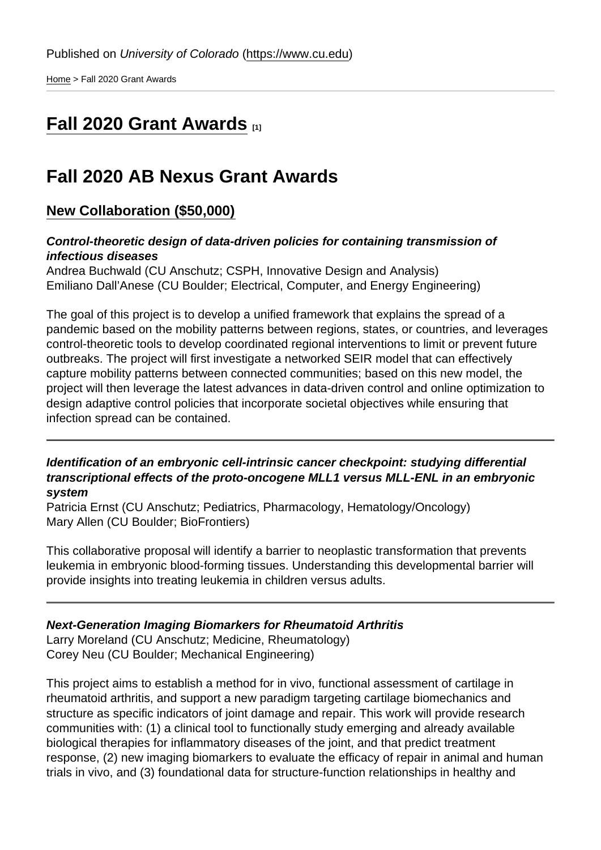[Home](https://www.cu.edu/) > Fall 2020 Grant Awards

# [Fall 2020 Grant Awards](https://www.cu.edu/ab-nexus/current-grant-award-winners/fall-2020-grant-awards) [1]

## Fall 2020 AB Nexus Grant Awards

## New Collaboration (\$50,000)

Control-theoretic design of data-driven policies for containing transmission of infectious diseases Andrea Buchwald (CU Anschutz; CSPH, Innovative Design and Analysis) Emiliano Dall'Anese (CU Boulder; Electrical, Computer, and Energy Engineering)

The goal of this project is to develop a unified framework that explains the spread of a pandemic based on the mobility patterns between regions, states, or countries, and leverages control-theoretic tools to develop coordinated regional interventions to limit or prevent future outbreaks. The project will first investigate a networked SEIR model that can effectively capture mobility patterns between connected communities; based on this new model, the project will then leverage the latest advances in data-driven control and online optimization to design adaptive control policies that incorporate societal objectives while ensuring that infection spread can be contained.

Identification of an embryonic cell-intrinsic cancer checkpoint: studying differential transcriptional effects of the proto-oncogene MLL1 versus MLL-ENL in an embryonic system

Patricia Ernst (CU Anschutz; Pediatrics, Pharmacology, Hematology/Oncology) Mary Allen (CU Boulder; BioFrontiers)

This collaborative proposal will identify a barrier to neoplastic transformation that prevents leukemia in embryonic blood-forming tissues. Understanding this developmental barrier will provide insights into treating leukemia in children versus adults.

Next-Generation Imaging Biomarkers for Rheumatoid Arthritis Larry Moreland (CU Anschutz; Medicine, Rheumatology) Corey Neu (CU Boulder; Mechanical Engineering)

This project aims to establish a method for in vivo, functional assessment of cartilage in rheumatoid arthritis, and support a new paradigm targeting cartilage biomechanics and structure as specific indicators of joint damage and repair. This work will provide research communities with: (1) a clinical tool to functionally study emerging and already available biological therapies for inflammatory diseases of the joint, and that predict treatment response, (2) new imaging biomarkers to evaluate the efficacy of repair in animal and human trials in vivo, and (3) foundational data for structure-function relationships in healthy and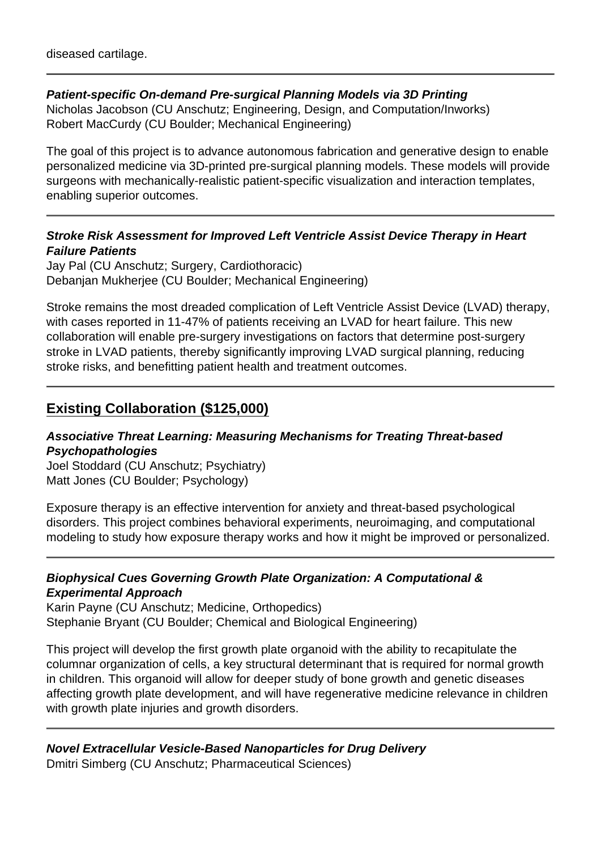### **Patient-specific On-demand Pre-surgical Planning Models via 3D Printing**

Nicholas Jacobson (CU Anschutz; Engineering, Design, and Computation/Inworks) Robert MacCurdy (CU Boulder; Mechanical Engineering)

The goal of this project is to advance autonomous fabrication and generative design to enable personalized medicine via 3D-printed pre-surgical planning models. These models will provide surgeons with mechanically-realistic patient-specific visualization and interaction templates, enabling superior outcomes.

### **Stroke Risk Assessment for Improved Left Ventricle Assist Device Therapy in Heart Failure Patients**

Jay Pal (CU Anschutz; Surgery, Cardiothoracic) Debanjan Mukherjee (CU Boulder; Mechanical Engineering)

Stroke remains the most dreaded complication of Left Ventricle Assist Device (LVAD) therapy, with cases reported in 11-47% of patients receiving an LVAD for heart failure. This new collaboration will enable pre-surgery investigations on factors that determine post-surgery stroke in LVAD patients, thereby significantly improving LVAD surgical planning, reducing stroke risks, and benefitting patient health and treatment outcomes.

## **Existing Collaboration (\$125,000)**

### **Associative Threat Learning: Measuring Mechanisms for Treating Threat-based Psychopathologies**

Joel Stoddard (CU Anschutz; Psychiatry) Matt Jones (CU Boulder; Psychology)

Exposure therapy is an effective intervention for anxiety and threat-based psychological disorders. This project combines behavioral experiments, neuroimaging, and computational modeling to study how exposure therapy works and how it might be improved or personalized.

### **Biophysical Cues Governing Growth Plate Organization: A Computational & Experimental Approach**

Karin Payne (CU Anschutz; Medicine, Orthopedics) Stephanie Bryant (CU Boulder; Chemical and Biological Engineering)

This project will develop the first growth plate organoid with the ability to recapitulate the columnar organization of cells, a key structural determinant that is required for normal growth in children. This organoid will allow for deeper study of bone growth and genetic diseases affecting growth plate development, and will have regenerative medicine relevance in children with growth plate injuries and growth disorders.